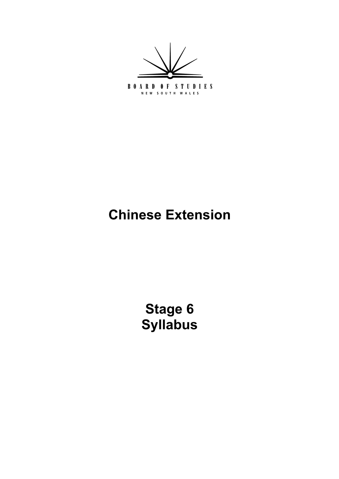

# **Chinese Extension**

**Stage 6 Syllabus**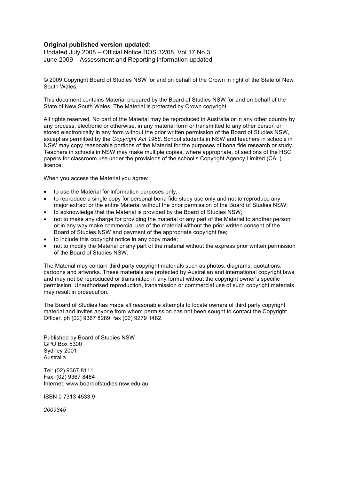#### **Original published version updated:**

Updated July 2008 – Official Notice BOS 32/08, Vol 17 No 3 June 2009 – Assessment and Reporting information updated

© 2009 Copyright Board of Studies NSW for and on behalf of the Crown in right of the State of New South Wales.

This document contains Material prepared by the Board of Studies NSW for and on behalf of the State of New South Wales. The Material is protected by Crown copyright.

All rights reserved. No part of the Material may be reproduced in Australia or in any other country by any process, electronic or otherwise, in any material form or transmitted to any other person or stored electronically in any form without the prior written permission of the Board of Studies NSW, except as permitted by the *Copyright Act 1968*. School students in NSW and teachers in schools in NSW may copy reasonable portions of the Material for the purposes of bona fide research or study. Teachers in schools in NSW may make multiple copies, where appropriate, of sections of the HSC papers for classroom use under the provisions of the school's Copyright Agency Limited (CAL) licence.

When you access the Material you agree:

to use the Material for information purposes only;

 to reproduce a single copy for personal bona fide study use only and not to reproduce any major extract or the entire Material without the prior permission of the Board of Studies NSW; to acknowledge that the Material is provided by the Board of Studies NSW;

 not to make any charge for providing the material or any part of the Material to another person or in any way make commercial use of the material without the prior written consent of the Board of Studies NSW and payment of the appropriate copyright fee;

to include this copyright notice in any copy made;

 not to modify the Material or any part of the material without the express prior written permission of the Board of Studies NSW.

The Material may contain third party copyright materials such as photos, diagrams, quotations, cartoons and artworks. These materials are protected by Australian and international copyright laws and may not be reproduced or transmitted in any format without the copyright owner's specific permission. Unauthorised reproduction, transmission or commercial use of such copyright materials may result in prosecution.

The Board of Studies has made all reasonable attempts to locate owners of third party copyright material and invites anyone from whom permission has not been sought to contact the Copyright Officer, ph (02) 9367 8289, fax (02) 9279 1482.

Published by Board of Studies NSW GPO Box 5300 Sydney 2001 Australia

Tel: (02) 9367 8111 Fax: (02) 9367 8484 Internet: www.boardofstudies.nsw.edu.au

ISBN 0 7313 4533 9

*2009345*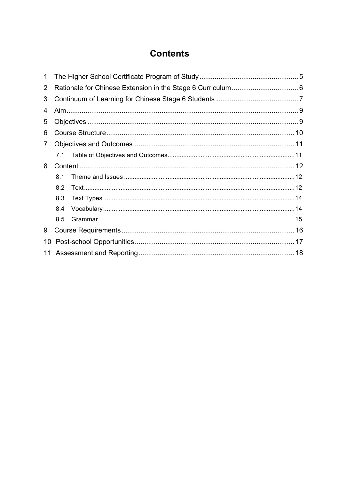## **Contents**

| 1              |     |  |  |  |  |
|----------------|-----|--|--|--|--|
| $\overline{2}$ |     |  |  |  |  |
| 3              |     |  |  |  |  |
| 4              |     |  |  |  |  |
| 5              |     |  |  |  |  |
| 6              |     |  |  |  |  |
| 7              |     |  |  |  |  |
|                |     |  |  |  |  |
| 8              |     |  |  |  |  |
|                | 8.1 |  |  |  |  |
|                | 8.2 |  |  |  |  |
|                | 8.3 |  |  |  |  |
|                | 8.4 |  |  |  |  |
|                | 8.5 |  |  |  |  |
| 9              |     |  |  |  |  |
| 10             |     |  |  |  |  |
| 11             |     |  |  |  |  |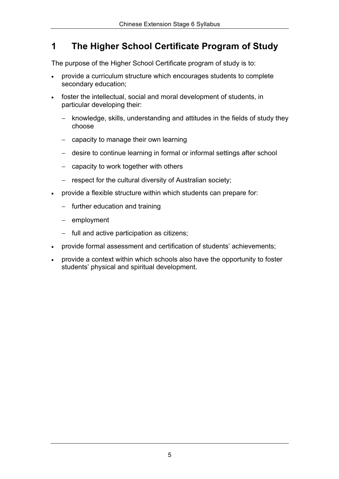### **1 The Higher School Certificate Program of Study**

The purpose of the Higher School Certificate program of study is to:

provide a curriculum structure which encourages students to complete secondary education;

foster the intellectual, social and moral development of students, in particular developing their:

- − knowledge, skills, understanding and attitudes in the fields of study they choose
- − capacity to manage their own learning
- − desire to continue learning in formal or informal settings after school
- − capacity to work together with others
- − respect for the cultural diversity of Australian society;

provide a flexible structure within which students can prepare for:

- − further education and training
- − employment
- − full and active participation as citizens;

provide formal assessment and certification of students' achievements;

provide a context within which schools also have the opportunity to foster students' physical and spiritual development.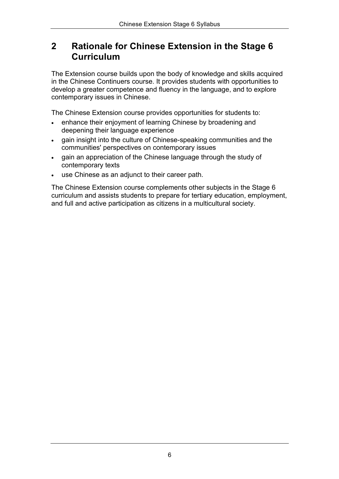### **2 Rationale for Chinese Extension in the Stage 6 Curriculum**

The Extension course builds upon the body of knowledge and skills acquired in the Chinese Continuers course. It provides students with opportunities to develop a greater competence and fluency in the language, and to explore contemporary issues in Chinese.

The Chinese Extension course provides opportunities for students to:

enhance their enjoyment of learning Chinese by broadening and deepening their language experience

gain insight into the culture of Chinese-speaking communities and the communities' perspectives on contemporary issues

gain an appreciation of the Chinese language through the study of contemporary texts

use Chinese as an adjunct to their career path.

The Chinese Extension course complements other subjects in the Stage 6 curriculum and assists students to prepare for tertiary education, employment, and full and active participation as citizens in a multicultural society.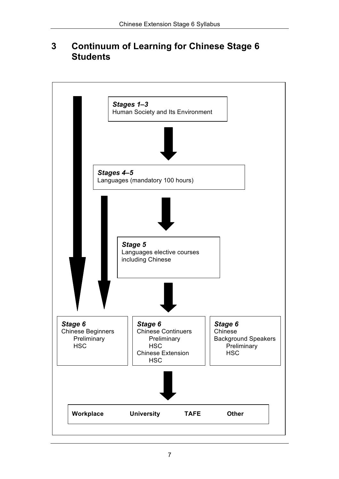### **3 Continuum of Learning for Chinese Stage 6 Students**

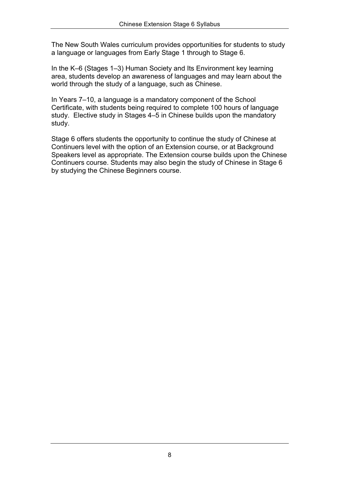The New South Wales curriculum provides opportunities for students to study a language or languages from Early Stage 1 through to Stage 6.

In the K–6 (Stages 1–3) Human Society and Its Environment key learning area, students develop an awareness of languages and may learn about the world through the study of a language, such as Chinese.

In Years 7–10, a language is a mandatory component of the School Certificate, with students being required to complete 100 hours of language study. Elective study in Stages 4–5 in Chinese builds upon the mandatory study.

Stage 6 offers students the opportunity to continue the study of Chinese at Continuers level with the option of an Extension course, or at Background Speakers level as appropriate. The Extension course builds upon the Chinese Continuers course. Students may also begin the study of Chinese in Stage 6 by studying the Chinese Beginners course.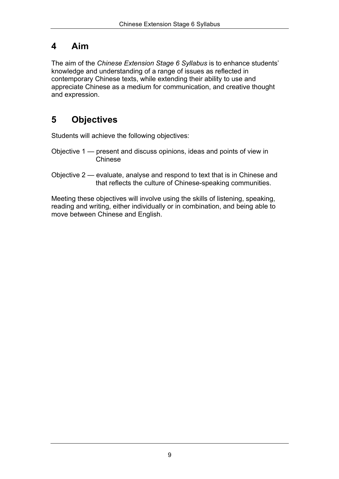### **4 Aim**

The aim of the *Chinese Extension Stage 6 Syllabus* is to enhance students' knowledge and understanding of a range of issues as reflected in contemporary Chinese texts, while extending their ability to use and appreciate Chinese as a medium for communication, and creative thought and expression.

# **5 Objectives**

Students will achieve the following objectives:

- Objective 1 present and discuss opinions, ideas and points of view in Chinese
- Objective 2 evaluate, analyse and respond to text that is in Chinese and that reflects the culture of Chinese-speaking communities.

Meeting these objectives will involve using the skills of listening, speaking, reading and writing, either individually or in combination, and being able to move between Chinese and English.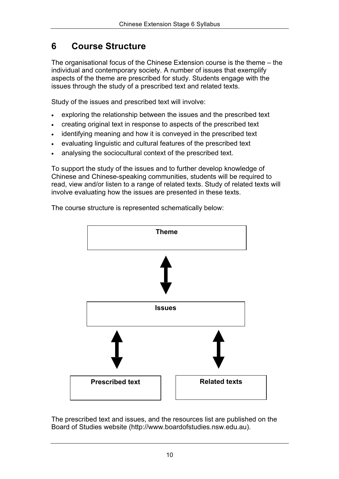### **6 Course Structure**

The organisational focus of the Chinese Extension course is the theme – the individual and contemporary society. A number of issues that exemplify aspects of the theme are prescribed for study. Students engage with the issues through the study of a prescribed text and related texts.

Study of the issues and prescribed text will involve:

exploring the relationship between the issues and the prescribed text creating original text in response to aspects of the prescribed text identifying meaning and how it is conveyed in the prescribed text evaluating linguistic and cultural features of the prescribed text analysing the sociocultural context of the prescribed text.

To support the study of the issues and to further develop knowledge of Chinese and Chinese-speaking communities, students will be required to read, view and/or listen to a range of related texts. Study of related texts will involve evaluating how the issues are presented in these texts.



The course structure is represented schematically below:

The prescribed text and issues, and the resources list are published on the Board of Studies website (http://www.boardofstudies.nsw.edu.au).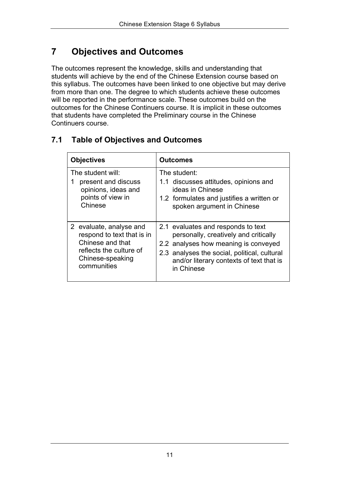# **7 Objectives and Outcomes**

The outcomes represent the knowledge, skills and understanding that students will achieve by the end of the Chinese Extension course based on this syllabus. The outcomes have been linked to one objective but may derive from more than one. The degree to which students achieve these outcomes will be reported in the performance scale. These outcomes build on the outcomes for the Chinese Continuers course. It is implicit in these outcomes that students have completed the Preliminary course in the Chinese Continuers course.

| <b>Objectives</b>                                                                                                                       | <b>Outcomes</b>                                                                                                                                                                                                               |  |  |
|-----------------------------------------------------------------------------------------------------------------------------------------|-------------------------------------------------------------------------------------------------------------------------------------------------------------------------------------------------------------------------------|--|--|
| The student will:<br>present and discuss<br>1<br>opinions, ideas and<br>points of view in<br>Chinese                                    | The student:<br>1.1 discusses attitudes, opinions and<br>ideas in Chinese<br>1.2 formulates and justifies a written or<br>spoken argument in Chinese                                                                          |  |  |
| 2 evaluate, analyse and<br>respond to text that is in<br>Chinese and that<br>reflects the culture of<br>Chinese-speaking<br>communities | 2.1 evaluates and responds to text<br>personally, creatively and critically<br>2.2 analyses how meaning is conveyed<br>2.3 analyses the social, political, cultural<br>and/or literary contexts of text that is<br>in Chinese |  |  |

#### **7.1 Table of Objectives and Outcomes**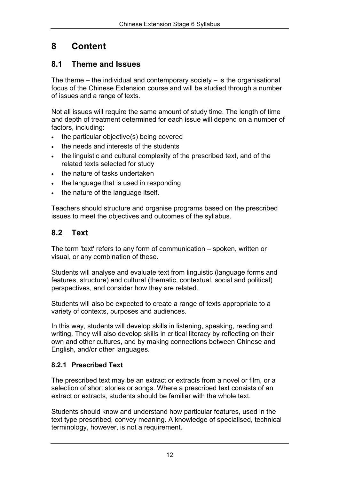# **8 Content**

#### **8.1 Theme and Issues**

The theme – the individual and contemporary society – is the organisational focus of the Chinese Extension course and will be studied through a number of issues and a range of texts.

Not all issues will require the same amount of study time. The length of time and depth of treatment determined for each issue will depend on a number of factors, including:

the particular objective(s) being covered the needs and interests of the students the linguistic and cultural complexity of the prescribed text, and of the related texts selected for study the nature of tasks undertaken the language that is used in responding the nature of the language itself.

Teachers should structure and organise programs based on the prescribed issues to meet the objectives and outcomes of the syllabus.

### **8.2 Text**

The term 'text' refers to any form of communication – spoken, written or visual, or any combination of these.

Students will analyse and evaluate text from linguistic (language forms and features, structure) and cultural (thematic, contextual, social and political) perspectives, and consider how they are related.

Students will also be expected to create a range of texts appropriate to a variety of contexts, purposes and audiences.

In this way, students will develop skills in listening, speaking, reading and writing. They will also develop skills in critical literacy by reflecting on their own and other cultures, and by making connections between Chinese and English, and/or other languages.

#### **8.2.1 Prescribed Text**

The prescribed text may be an extract or extracts from a novel or film, or a selection of short stories or songs. Where a prescribed text consists of an extract or extracts, students should be familiar with the whole text.

Students should know and understand how particular features, used in the text type prescribed, convey meaning. A knowledge of specialised, technical terminology, however, is not a requirement.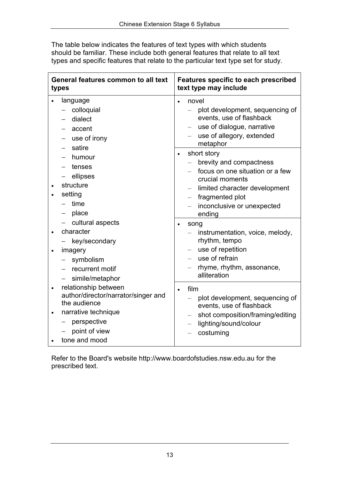The table below indicates the features of text types with which students should be familiar. These include both general features that relate to all text types and specific features that relate to the particular text type set for study.

| General features common to all text                                                                                                                      | <b>Features specific to each prescribed</b>                                                                                                   |
|----------------------------------------------------------------------------------------------------------------------------------------------------------|-----------------------------------------------------------------------------------------------------------------------------------------------|
| types                                                                                                                                                    | text type may include                                                                                                                         |
| language                                                                                                                                                 | novel                                                                                                                                         |
| colloquial                                                                                                                                               | plot development, sequencing of                                                                                                               |
| dialect                                                                                                                                                  | events, use of flashback                                                                                                                      |
| accent                                                                                                                                                   | use of dialogue, narrative                                                                                                                    |
| use of irony                                                                                                                                             | use of allegory, extended                                                                                                                     |
| satire                                                                                                                                                   | metaphor                                                                                                                                      |
| humour                                                                                                                                                   | short story                                                                                                                                   |
| tenses                                                                                                                                                   | brevity and compactness                                                                                                                       |
| ellipses                                                                                                                                                 | focus on one situation or a few                                                                                                               |
| structure                                                                                                                                                | crucial moments                                                                                                                               |
| setting                                                                                                                                                  | limited character development                                                                                                                 |
| time                                                                                                                                                     | fragmented plot                                                                                                                               |
| $\overline{\phantom{0}}$                                                                                                                                 | $\overline{\phantom{0}}$                                                                                                                      |
| place                                                                                                                                                    | inconclusive or unexpected                                                                                                                    |
| —                                                                                                                                                        | ending                                                                                                                                        |
| cultural aspects                                                                                                                                         | song                                                                                                                                          |
| character                                                                                                                                                | instrumentation, voice, melody,                                                                                                               |
| key/secondary                                                                                                                                            | rhythm, tempo                                                                                                                                 |
| imagery                                                                                                                                                  | use of repetition                                                                                                                             |
| symbolism                                                                                                                                                | use of refrain                                                                                                                                |
| recurrent motif                                                                                                                                          | rhyme, rhythm, assonance,                                                                                                                     |
| simile/metaphor                                                                                                                                          | alliteration                                                                                                                                  |
| relationship between<br>author/director/narrator/singer and<br>the audience<br>narrative technique<br>perspective<br>—<br>point of view<br>tone and mood | film<br>plot development, sequencing of<br>events, use of flashback<br>shot composition/framing/editing<br>lighting/sound/colour<br>costuming |

Refer to the Board's website http://www.boardofstudies.nsw.edu.au for the prescribed text.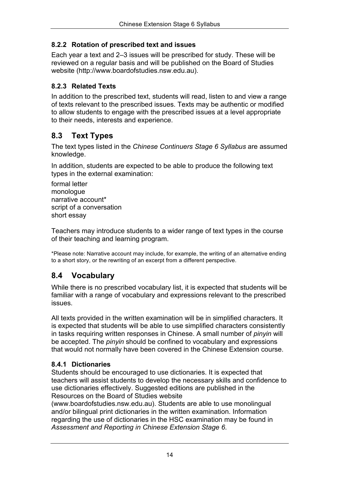#### **8.2.2 Rotation of prescribed text and issues**

Each year a text and 2–3 issues will be prescribed for study. These will be reviewed on a regular basis and will be published on the Board of Studies website (http://www.boardofstudies.nsw.edu.au).

#### **8.2.3 Related Texts**

In addition to the prescribed text, students will read, listen to and view a range of texts relevant to the prescribed issues. Texts may be authentic or modified to allow students to engage with the prescribed issues at a level appropriate to their needs, interests and experience.

### **8.3 Text Types**

The text types listed in the *Chinese Continuers Stage 6 Syllabus* are assumed knowledge.

In addition, students are expected to be able to produce the following text types in the external examination:

formal letter monologue narrative account\* script of a conversation short essay

Teachers may introduce students to a wider range of text types in the course of their teaching and learning program.

\*Please note: Narrative account may include, for example, the writing of an alternative ending to a short story, or the rewriting of an excerpt from a different perspective.

### **8.4 Vocabulary**

While there is no prescribed vocabulary list, it is expected that students will be familiar with a range of vocabulary and expressions relevant to the prescribed issues.

All texts provided in the written examination will be in simplified characters. It is expected that students will be able to use simplified characters consistently in tasks requiring written responses in Chinese. A small number of *pinyin* will be accepted. The *pinyin* should be confined to vocabulary and expressions that would not normally have been covered in the Chinese Extension course.

#### **8.4.1 Dictionaries**

Students should be encouraged to use dictionaries. It is expected that teachers will assist students to develop the necessary skills and confidence to use dictionaries effectively. Suggested editions are published in the Resources on the Board of Studies website

(www.boardofstudies.nsw.edu.au). Students are able to use monolingual and/or bilingual print dictionaries in the written examination. Information regarding the use of dictionaries in the HSC examination may be found in *Assessment and Reporting in Chinese Extension Stage 6*.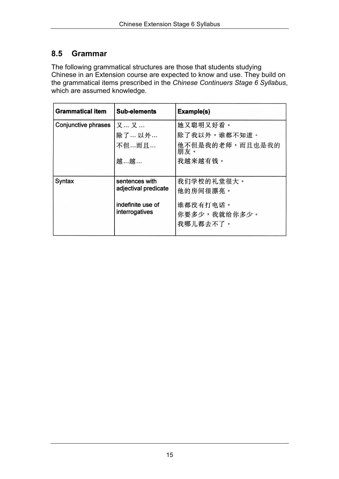#### **8.5 Grammar**

The following grammatical structures are those that students studying Chinese in an Extension course are expected to know and use. They build on the grammatical items prescribed in the *Chinese Continuers Stage 6 Syllabus*, which are assumed knowledge.

| <b>Grammatical item</b> | <b>Sub-elements</b>                    | Example(s)             |
|-------------------------|----------------------------------------|------------------------|
| Conjunctive phrases     | 又…又…                                   | 她又聪明又好看。               |
|                         | 除了…以外…                                 | 除了我以外,谁都不知道。           |
|                         | 不但…而且…                                 | 他不但是我的老师,而且也是我的<br>朋友。 |
|                         | 越…越…                                   | 我越来越有钱。                |
|                         |                                        |                        |
| Syntax                  | sentences with<br>adjectival predicate | 我们学校的礼堂很大。             |
|                         |                                        | 他的房间很漂亮。               |
|                         | indefinite use of                      | 谁都没有打电话。               |
|                         | interrogatives                         | 你要多少,我就给你多少。           |
|                         |                                        | 我哪儿都去不了。               |
|                         |                                        |                        |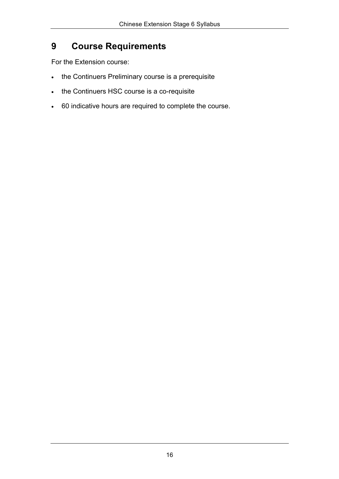# **9 Course Requirements**

For the Extension course:

the Continuers Preliminary course is a prerequisite

the Continuers HSC course is a co-requisite

60 indicative hours are required to complete the course.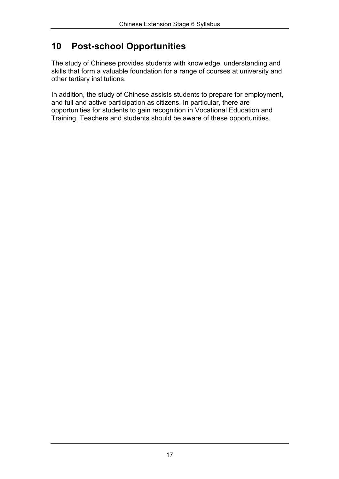### **10 Post-school Opportunities**

The study of Chinese provides students with knowledge, understanding and skills that form a valuable foundation for a range of courses at university and other tertiary institutions.

In addition, the study of Chinese assists students to prepare for employment, and full and active participation as citizens. In particular, there are opportunities for students to gain recognition in Vocational Education and Training. Teachers and students should be aware of these opportunities.